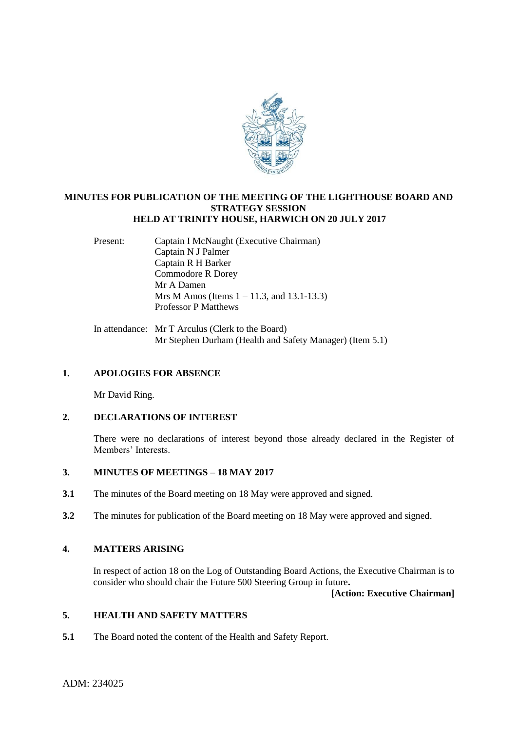

### **MINUTES FOR PUBLICATION OF THE MEETING OF THE LIGHTHOUSE BOARD AND STRATEGY SESSION HELD AT TRINITY HOUSE, HARWICH ON 20 JULY 2017**

Present: Captain I McNaught (Executive Chairman) Captain N J Palmer Captain R H Barker Commodore R Dorey Mr A Damen Mrs M Amos (Items 1 – 11.3, and 13.1-13.3) Professor P Matthews

In attendance: Mr T Arculus (Clerk to the Board) Mr Stephen Durham (Health and Safety Manager) (Item 5.1)

### **1. APOLOGIES FOR ABSENCE**

Mr David Ring.

# **2. DECLARATIONS OF INTEREST**

There were no declarations of interest beyond those already declared in the Register of Members' Interests.

# **3. MINUTES OF MEETINGS – 18 MAY 2017**

- **3.1** The minutes of the Board meeting on 18 May were approved and signed.
- **3.2** The minutes for publication of the Board meeting on 18 May were approved and signed.

# **4. MATTERS ARISING**

In respect of action 18 on the Log of Outstanding Board Actions, the Executive Chairman is to consider who should chair the Future 500 Steering Group in future**.** 

### **[Action: Executive Chairman]**

# **5. HEALTH AND SAFETY MATTERS**

**5.1** The Board noted the content of the Health and Safety Report.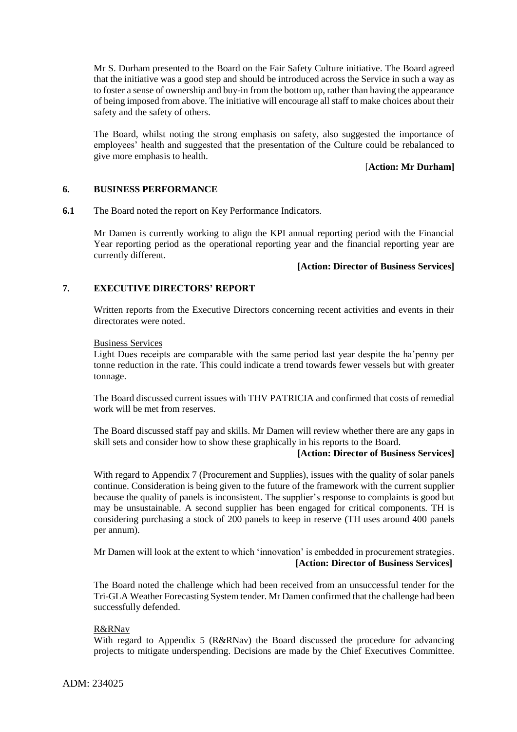Mr S. Durham presented to the Board on the Fair Safety Culture initiative. The Board agreed that the initiative was a good step and should be introduced across the Service in such a way as to foster a sense of ownership and buy-in from the bottom up, rather than having the appearance of being imposed from above. The initiative will encourage all staff to make choices about their safety and the safety of others.

The Board, whilst noting the strong emphasis on safety, also suggested the importance of employees' health and suggested that the presentation of the Culture could be rebalanced to give more emphasis to health.

# [**Action: Mr Durham]**

### **6. BUSINESS PERFORMANCE**

**6.1** The Board noted the report on Key Performance Indicators.

Mr Damen is currently working to align the KPI annual reporting period with the Financial Year reporting period as the operational reporting year and the financial reporting year are currently different.

#### **[Action: Director of Business Services]**

### **7. EXECUTIVE DIRECTORS' REPORT**

Written reports from the Executive Directors concerning recent activities and events in their directorates were noted.

#### Business Services

Light Dues receipts are comparable with the same period last year despite the ha'penny per tonne reduction in the rate. This could indicate a trend towards fewer vessels but with greater tonnage.

The Board discussed current issues with THV PATRICIA and confirmed that costs of remedial work will be met from reserves.

The Board discussed staff pay and skills. Mr Damen will review whether there are any gaps in skill sets and consider how to show these graphically in his reports to the Board.

# **[Action: Director of Business Services]**

With regard to Appendix 7 (Procurement and Supplies), issues with the quality of solar panels continue. Consideration is being given to the future of the framework with the current supplier because the quality of panels is inconsistent. The supplier's response to complaints is good but may be unsustainable. A second supplier has been engaged for critical components. TH is considering purchasing a stock of 200 panels to keep in reserve (TH uses around 400 panels per annum).

Mr Damen will look at the extent to which 'innovation' is embedded in procurement strategies. **[Action: Director of Business Services]**

The Board noted the challenge which had been received from an unsuccessful tender for the Tri-GLA Weather Forecasting System tender. Mr Damen confirmed that the challenge had been successfully defended.

#### R&RNav

With regard to Appendix 5 (R&RNav) the Board discussed the procedure for advancing projects to mitigate underspending. Decisions are made by the Chief Executives Committee.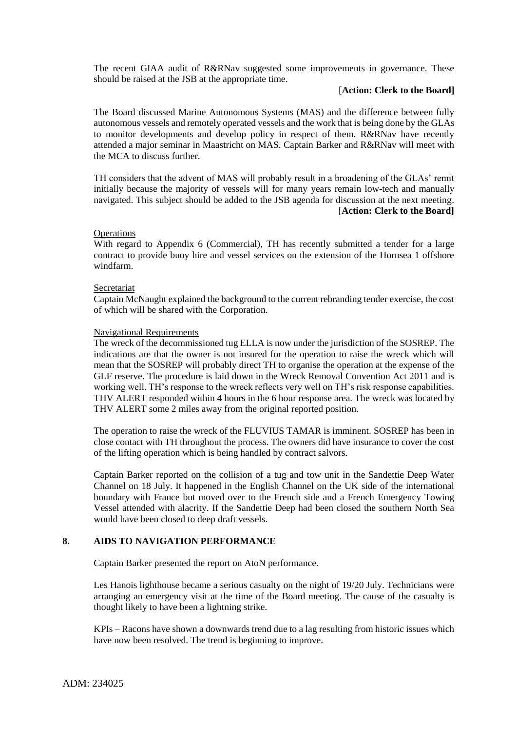The recent GIAA audit of R&RNav suggested some improvements in governance. These should be raised at the JSB at the appropriate time.

## [**Action: Clerk to the Board]**

The Board discussed Marine Autonomous Systems (MAS) and the difference between fully autonomous vessels and remotely operated vessels and the work that is being done by the GLAs to monitor developments and develop policy in respect of them. R&RNav have recently attended a major seminar in Maastricht on MAS. Captain Barker and R&RNav will meet with the MCA to discuss further.

TH considers that the advent of MAS will probably result in a broadening of the GLAs' remit initially because the majority of vessels will for many years remain low-tech and manually navigated. This subject should be added to the JSB agenda for discussion at the next meeting. [**Action: Clerk to the Board]**

#### **Operations**

With regard to Appendix 6 (Commercial), TH has recently submitted a tender for a large contract to provide buoy hire and vessel services on the extension of the Hornsea 1 offshore windfarm.

#### **Secretariat**

Captain McNaught explained the background to the current rebranding tender exercise, the cost of which will be shared with the Corporation.

#### Navigational Requirements

The wreck of the decommissioned tug ELLA is now under the jurisdiction of the SOSREP. The indications are that the owner is not insured for the operation to raise the wreck which will mean that the SOSREP will probably direct TH to organise the operation at the expense of the GLF reserve. The procedure is laid down in the Wreck Removal Convention Act 2011 and is working well. TH's response to the wreck reflects very well on TH's risk response capabilities. THV ALERT responded within 4 hours in the 6 hour response area. The wreck was located by THV ALERT some 2 miles away from the original reported position.

The operation to raise the wreck of the FLUVIUS TAMAR is imminent. SOSREP has been in close contact with TH throughout the process. The owners did have insurance to cover the cost of the lifting operation which is being handled by contract salvors.

Captain Barker reported on the collision of a tug and tow unit in the Sandettie Deep Water Channel on 18 July. It happened in the English Channel on the UK side of the international boundary with France but moved over to the French side and a French Emergency Towing Vessel attended with alacrity. If the Sandettie Deep had been closed the southern North Sea would have been closed to deep draft vessels.

### **8. AIDS TO NAVIGATION PERFORMANCE**

Captain Barker presented the report on AtoN performance.

Les Hanois lighthouse became a serious casualty on the night of 19/20 July. Technicians were arranging an emergency visit at the time of the Board meeting. The cause of the casualty is thought likely to have been a lightning strike.

KPIs – Racons have shown a downwards trend due to a lag resulting from historic issues which have now been resolved. The trend is beginning to improve.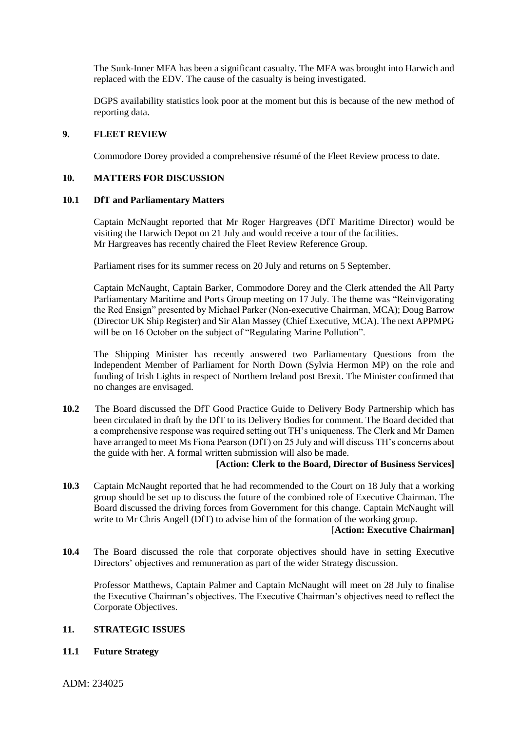The Sunk-Inner MFA has been a significant casualty. The MFA was brought into Harwich and replaced with the EDV. The cause of the casualty is being investigated.

DGPS availability statistics look poor at the moment but this is because of the new method of reporting data.

### **9. FLEET REVIEW**

Commodore Dorey provided a comprehensive résumé of the Fleet Review process to date.

#### **10. MATTERS FOR DISCUSSION**

#### **10.1 DfT and Parliamentary Matters**

Captain McNaught reported that Mr Roger Hargreaves (DfT Maritime Director) would be visiting the Harwich Depot on 21 July and would receive a tour of the facilities. Mr Hargreaves has recently chaired the Fleet Review Reference Group.

Parliament rises for its summer recess on 20 July and returns on 5 September.

Captain McNaught, Captain Barker, Commodore Dorey and the Clerk attended the All Party Parliamentary Maritime and Ports Group meeting on 17 July. The theme was "Reinvigorating the Red Ensign" presented by Michael Parker (Non-executive Chairman, MCA); Doug Barrow (Director UK Ship Register) and Sir Alan Massey (Chief Executive, MCA). The next APPMPG will be on 16 October on the subject of "Regulating Marine Pollution".

The Shipping Minister has recently answered two Parliamentary Questions from the Independent Member of Parliament for North Down (Sylvia Hermon MP) on the role and funding of Irish Lights in respect of Northern Ireland post Brexit. The Minister confirmed that no changes are envisaged.

**10.2** The Board discussed the DfT Good Practice Guide to Delivery Body Partnership which has been circulated in draft by the DfT to its Delivery Bodies for comment. The Board decided that a comprehensive response was required setting out TH's uniqueness. The Clerk and Mr Damen have arranged to meet Ms Fiona Pearson (DfT) on 25 July and will discuss TH's concerns about the guide with her. A formal written submission will also be made.

#### **[Action: Clerk to the Board, Director of Business Services]**

**10.3** Captain McNaught reported that he had recommended to the Court on 18 July that a working group should be set up to discuss the future of the combined role of Executive Chairman. The Board discussed the driving forces from Government for this change. Captain McNaught will write to Mr Chris Angell (DfT) to advise him of the formation of the working group.

### [**Action: Executive Chairman]**

**10.4** The Board discussed the role that corporate objectives should have in setting Executive Directors' objectives and remuneration as part of the wider Strategy discussion.

Professor Matthews, Captain Palmer and Captain McNaught will meet on 28 July to finalise the Executive Chairman's objectives. The Executive Chairman's objectives need to reflect the Corporate Objectives.

### **11. STRATEGIC ISSUES**

### **11.1 Future Strategy**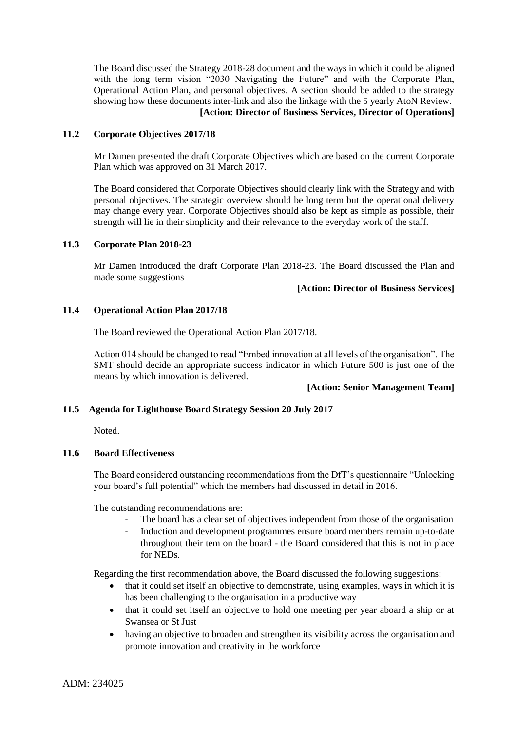The Board discussed the Strategy 2018-28 document and the ways in which it could be aligned with the long term vision "2030 Navigating the Future" and with the Corporate Plan, Operational Action Plan, and personal objectives. A section should be added to the strategy showing how these documents inter-link and also the linkage with the 5 yearly AtoN Review. **[Action: Director of Business Services, Director of Operations]**

### **11.2 Corporate Objectives 2017/18**

Mr Damen presented the draft Corporate Objectives which are based on the current Corporate Plan which was approved on 31 March 2017.

The Board considered that Corporate Objectives should clearly link with the Strategy and with personal objectives. The strategic overview should be long term but the operational delivery may change every year. Corporate Objectives should also be kept as simple as possible, their strength will lie in their simplicity and their relevance to the everyday work of the staff.

### **11.3 Corporate Plan 2018-23**

Mr Damen introduced the draft Corporate Plan 2018-23. The Board discussed the Plan and made some suggestions

#### **[Action: Director of Business Services]**

### **11.4 Operational Action Plan 2017/18**

The Board reviewed the Operational Action Plan 2017/18.

Action 014 should be changed to read "Embed innovation at all levels of the organisation". The SMT should decide an appropriate success indicator in which Future 500 is just one of the means by which innovation is delivered.

### **[Action: Senior Management Team]**

### **11.5 Agenda for Lighthouse Board Strategy Session 20 July 2017**

Noted.

#### **11.6 Board Effectiveness**

The Board considered outstanding recommendations from the DfT's questionnaire "Unlocking your board's full potential" which the members had discussed in detail in 2016.

The outstanding recommendations are:

- The board has a clear set of objectives independent from those of the organisation
- Induction and development programmes ensure board members remain up-to-date throughout their tem on the board - the Board considered that this is not in place for NEDs.

Regarding the first recommendation above, the Board discussed the following suggestions:

- that it could set itself an objective to demonstrate, using examples, ways in which it is has been challenging to the organisation in a productive way
- that it could set itself an objective to hold one meeting per year aboard a ship or at Swansea or St Just
- having an objective to broaden and strengthen its visibility across the organisation and promote innovation and creativity in the workforce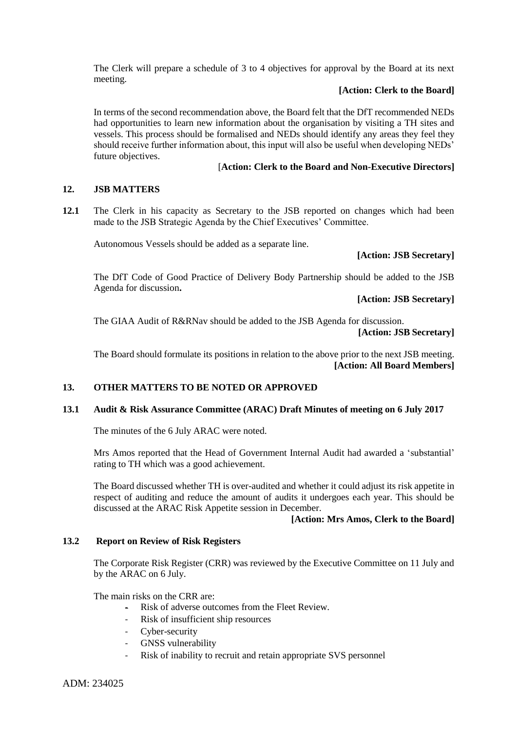The Clerk will prepare a schedule of 3 to 4 objectives for approval by the Board at its next meeting.

# **[Action: Clerk to the Board]**

In terms of the second recommendation above, the Board felt that the DfT recommended NEDs had opportunities to learn new information about the organisation by visiting a TH sites and vessels. This process should be formalised and NEDs should identify any areas they feel they should receive further information about, this input will also be useful when developing NEDs' future objectives.

# [**Action: Clerk to the Board and Non-Executive Directors]**

### **12. JSB MATTERS**

**12.1** The Clerk in his capacity as Secretary to the JSB reported on changes which had been made to the JSB Strategic Agenda by the Chief Executives' Committee.

Autonomous Vessels should be added as a separate line.

### **[Action: JSB Secretary]**

The DfT Code of Good Practice of Delivery Body Partnership should be added to the JSB Agenda for discussion**.**

 **[Action: JSB Secretary]**

The GIAA Audit of R&RNav should be added to the JSB Agenda for discussion.  **[Action: JSB Secretary]**

The Board should formulate its positions in relation to the above prior to the next JSB meeting.  **[Action: All Board Members]**

### **13. OTHER MATTERS TO BE NOTED OR APPROVED**

### **13.1 Audit & Risk Assurance Committee (ARAC) Draft Minutes of meeting on 6 July 2017**

The minutes of the 6 July ARAC were noted.

Mrs Amos reported that the Head of Government Internal Audit had awarded a 'substantial' rating to TH which was a good achievement.

The Board discussed whether TH is over-audited and whether it could adjust its risk appetite in respect of auditing and reduce the amount of audits it undergoes each year. This should be discussed at the ARAC Risk Appetite session in December.

#### **[Action: Mrs Amos, Clerk to the Board]**

#### **13.2 Report on Review of Risk Registers**

The Corporate Risk Register (CRR) was reviewed by the Executive Committee on 11 July and by the ARAC on 6 July.

The main risks on the CRR are:

- Risk of adverse outcomes from the Fleet Review.
- Risk of insufficient ship resources
- Cyber-security
- GNSS vulnerability
- Risk of inability to recruit and retain appropriate SVS personnel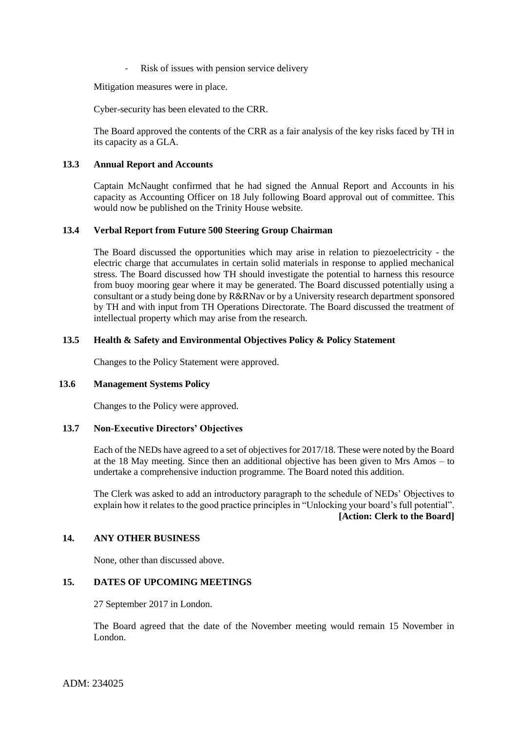Risk of issues with pension service delivery

Mitigation measures were in place.

Cyber-security has been elevated to the CRR.

The Board approved the contents of the CRR as a fair analysis of the key risks faced by TH in its capacity as a GLA.

### **13.3 Annual Report and Accounts**

Captain McNaught confirmed that he had signed the Annual Report and Accounts in his capacity as Accounting Officer on 18 July following Board approval out of committee. This would now be published on the Trinity House website.

# **13.4 Verbal Report from Future 500 Steering Group Chairman**

The Board discussed the opportunities which may arise in relation to piezoelectricity - the electric charge that accumulates in certain solid materials in response to applied mechanical stress. The Board discussed how TH should investigate the potential to harness this resource from buoy mooring gear where it may be generated. The Board discussed potentially using a consultant or a study being done by R&RNav or by a University research department sponsored by TH and with input from TH Operations Directorate. The Board discussed the treatment of intellectual property which may arise from the research.

# **13.5 Health & Safety and Environmental Objectives Policy & Policy Statement**

Changes to the Policy Statement were approved.

### **13.6 Management Systems Policy**

Changes to the Policy were approved.

### **13.7 Non-Executive Directors' Objectives**

Each of the NEDs have agreed to a set of objectives for 2017/18. These were noted by the Board at the 18 May meeting. Since then an additional objective has been given to Mrs Amos – to undertake a comprehensive induction programme. The Board noted this addition.

The Clerk was asked to add an introductory paragraph to the schedule of NEDs' Objectives to explain how it relates to the good practice principles in "Unlocking your board's full potential". **[Action: Clerk to the Board]**

### **14. ANY OTHER BUSINESS**

None, other than discussed above.

# **15. DATES OF UPCOMING MEETINGS**

27 September 2017 in London.

The Board agreed that the date of the November meeting would remain 15 November in London.